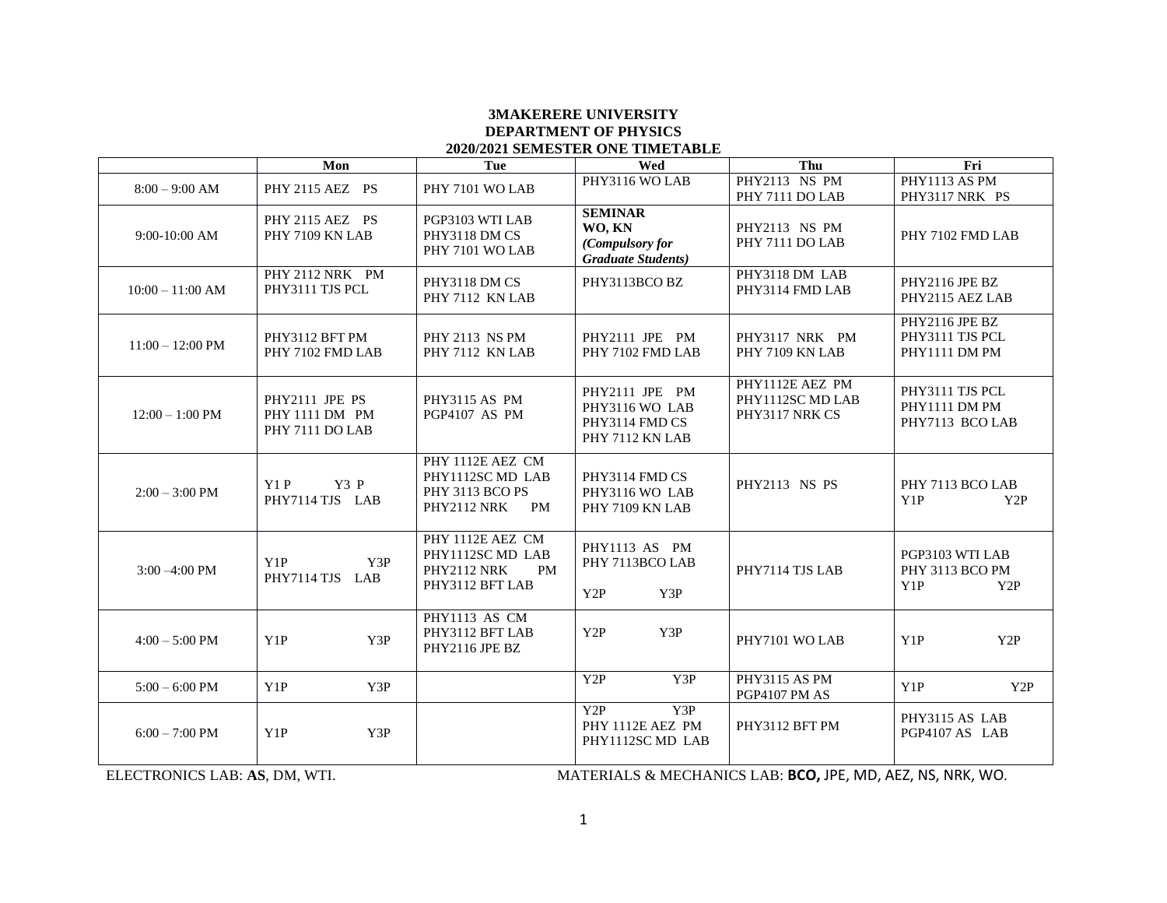## **3MAKERERE UNIVERSITY DEPARTMENT OF PHYSICS 2020/2021 SEMESTER ONE TIMETABLE**

|                            | Mon                                                 | Tue                                                                                 | Wed                                                                      | Thu                                                   | Fri                                                           |
|----------------------------|-----------------------------------------------------|-------------------------------------------------------------------------------------|--------------------------------------------------------------------------|-------------------------------------------------------|---------------------------------------------------------------|
| $8:00 - 9:00$ AM           | PHY 2115 AEZ PS                                     | PHY 7101 WO LAB                                                                     | PHY3116 WO LAB                                                           | PHY2113 NS PM<br>PHY 7111 DO LAB                      | PHY1113 AS PM<br>PHY3117 NRK PS                               |
| $9:00-10:00$ AM            | PHY 2115 AEZ PS<br>PHY 7109 KN LAB                  | PGP3103 WTI LAB<br>PHY3118 DM CS<br>PHY 7101 WO LAB                                 | <b>SEMINAR</b><br>WO, KN<br>(Compulsory for<br><b>Graduate Students)</b> | PHY2113 NS PM<br>PHY 7111 DO LAB                      | PHY 7102 FMD LAB                                              |
| $10:00 - 11:00$ AM         | PHY 2112 NRK PM<br>PHY3111 TJS PCL                  | PHY3118 DM CS<br>PHY 7112 KN LAB                                                    | PHY3113BCO BZ                                                            | PHY3118 DM LAB<br>PHY3114 FMD LAB                     | <b>PHY2116 JPE BZ</b><br>PHY2115 AEZ LAB                      |
| $11:00 - 12:00 \text{ PM}$ | PHY3112 BFT PM<br>PHY 7102 FMD LAB                  | <b>PHY 2113 NS PM</b><br>PHY 7112 KN LAB                                            | PHY2111 JPE PM<br>PHY 7102 FMD LAB                                       | PHY3117 NRK PM<br>PHY 7109 KN LAB                     | PHY2116 JPE BZ<br>PHY3111 TJS PCL<br>PHY1111 DM PM            |
| $12:00 - 1:00$ PM          | PHY2111 JPE PS<br>PHY 1111 DM PM<br>PHY 7111 DO LAB | <b>PHY3115 AS PM</b><br>PGP4107 AS PM                                               | PHY2111 JPE PM<br>PHY3116 WO LAB<br>PHY3114 FMD CS<br>PHY 7112 KN LAB    | PHY1112E AEZ PM<br>PHY1112SC MD LAB<br>PHY3117 NRK CS | PHY3111 TJS PCL<br>PHY1111 DM PM<br>PHY7113 BCO LAB           |
| $2:00 - 3:00 \text{ PM}$   | Y1P<br>Y3 P<br>PHY7114 TJS LAB                      | PHY 1112E AEZ CM<br>PHY1112SC MD LAB<br>PHY 3113 BCO PS<br>PHY2112 NRK<br><b>PM</b> | PHY3114 FMD CS<br>PHY3116 WO LAB<br>PHY 7109 KN LAB                      | PHY2113 NS PS                                         | PHY 7113 BCO LAB<br>Y1P<br>Y2P                                |
| $3:00 - 4:00$ PM           | Y1P<br>Y3P<br>PHY7114 TJS LAB                       | PHY 1112E AEZ CM<br>PHY1112SC MD LAB<br>PHY2112 NRK<br>PM<br>PHY3112 BFT LAB        | PHY1113 AS PM<br>PHY 7113BCO LAB<br>Y2P<br>Y3P                           | PHY7114 TJS LAB                                       | PGP3103 WTI LAB<br>PHY 3113 BCO PM<br>Y <sub>1</sub> P<br>Y2P |
| $4:00 - 5:00$ PM           | Y3P<br>Y <sub>1</sub> P                             | PHY1113 AS CM<br>PHY3112 BFT LAB<br>PHY2116 JPE BZ                                  | Y2P<br>Y3P                                                               | PHY7101 WO LAB                                        | Y <sub>1</sub> P<br>Y2P                                       |
| $5:00 - 6:00$ PM           | Y1P<br>Y3P                                          |                                                                                     | Y2P<br>Y3P                                                               | PHY3115 AS PM<br>PGP4107 PM AS                        | Y1P<br>Y2P                                                    |
| $6:00 - 7:00$ PM           | Y1P<br>Y3P                                          |                                                                                     | Y3P<br>Y2P<br>PHY 1112E AEZ PM<br>PHY1112SC MD LAB                       | PHY3112 BFT PM                                        | PHY3115 AS LAB<br>PGP4107 AS LAB                              |

ELECTRONICS LAB: **AS**, DM, WTI. MATERIALS & MECHANICS LAB: **BCO,** JPE, MD, AEZ, NS, NRK, WO.